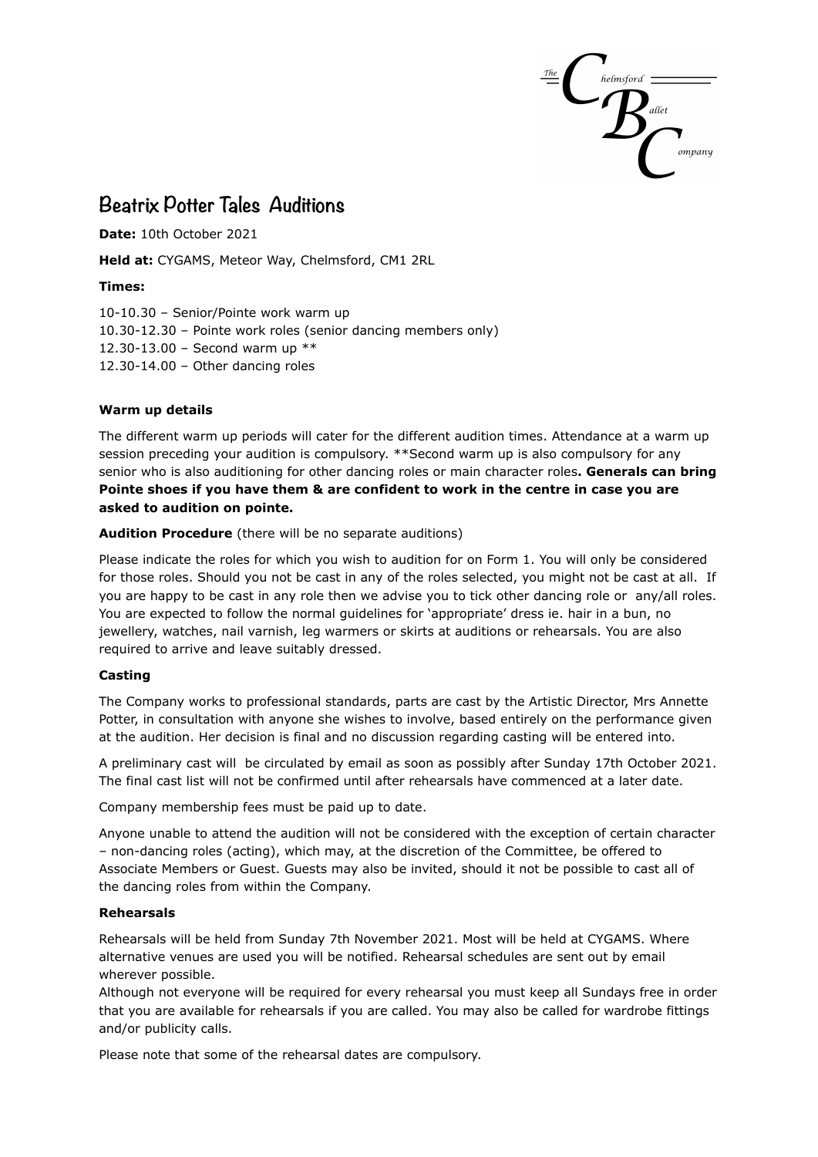

## **Beatrix Potter Tales Auditions**

**Date:** 10th October 2021

**Held at:** CYGAMS, Meteor Way, Chelmsford, CM1 2RL

## **Times:**

10-10.30 – Senior/Pointe work warm up 10.30-12.30 – Pointe work roles (senior dancing members only) 12.30-13.00 – Second warm up \*\* 12.30-14.00 – Other dancing roles

## **Warm up details**

The different warm up periods will cater for the different audition times. Attendance at a warm up session preceding your audition is compulsory. \*\*Second warm up is also compulsory for any senior who is also auditioning for other dancing roles or main character roles**. Generals can bring Pointe shoes if you have them & are confident to work in the centre in case you are asked to audition on pointe.**

**Audition Procedure** (there will be no separate auditions)

Please indicate the roles for which you wish to audition for on Form 1. You will only be considered for those roles. Should you not be cast in any of the roles selected, you might not be cast at all. If you are happy to be cast in any role then we advise you to tick other dancing role or any/all roles. You are expected to follow the normal guidelines for 'appropriate' dress ie. hair in a bun, no jewellery, watches, nail varnish, leg warmers or skirts at auditions or rehearsals. You are also required to arrive and leave suitably dressed.

## **Casting**

The Company works to professional standards, parts are cast by the Artistic Director, Mrs Annette Potter, in consultation with anyone she wishes to involve, based entirely on the performance given at the audition. Her decision is final and no discussion regarding casting will be entered into.

A preliminary cast will be circulated by email as soon as possibly after Sunday 17th October 2021. The final cast list will not be confirmed until after rehearsals have commenced at a later date.

Company membership fees must be paid up to date.

Anyone unable to attend the audition will not be considered with the exception of certain character – non-dancing roles (acting), which may, at the discretion of the Committee, be offered to Associate Members or Guest. Guests may also be invited, should it not be possible to cast all of the dancing roles from within the Company.

## **Rehearsals**

Rehearsals will be held from Sunday 7th November 2021. Most will be held at CYGAMS. Where alternative venues are used you will be notified. Rehearsal schedules are sent out by email wherever possible.

Although not everyone will be required for every rehearsal you must keep all Sundays free in order that you are available for rehearsals if you are called. You may also be called for wardrobe fittings and/or publicity calls.

Please note that some of the rehearsal dates are compulsory.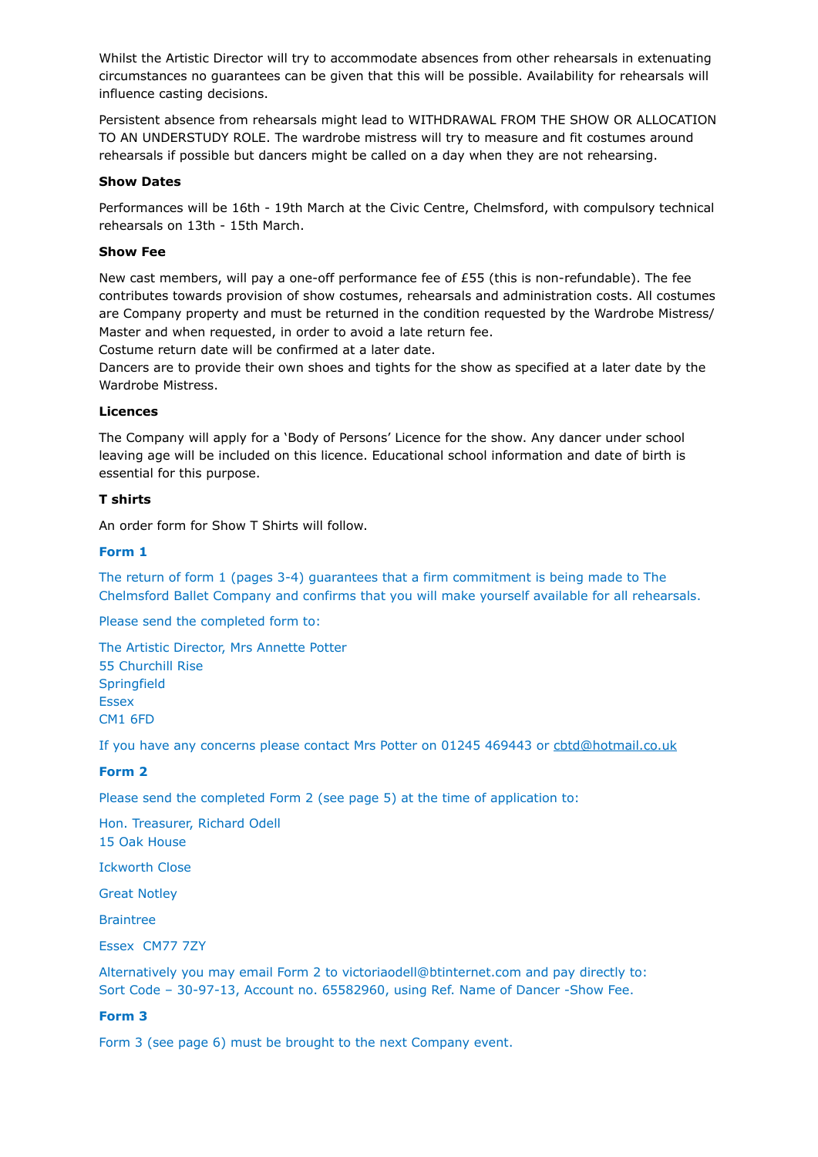Whilst the Artistic Director will try to accommodate absences from other rehearsals in extenuating circumstances no guarantees can be given that this will be possible. Availability for rehearsals will influence casting decisions.

Persistent absence from rehearsals might lead to WITHDRAWAL FROM THE SHOW OR ALLOCATION TO AN UNDERSTUDY ROLE. The wardrobe mistress will try to measure and fit costumes around rehearsals if possible but dancers might be called on a day when they are not rehearsing.

## **Show Dates**

Performances will be 16th - 19th March at the Civic Centre, Chelmsford, with compulsory technical rehearsals on 13th - 15th March.

### **Show Fee**

New cast members, will pay a one-off performance fee of £55 (this is non-refundable). The fee contributes towards provision of show costumes, rehearsals and administration costs. All costumes are Company property and must be returned in the condition requested by the Wardrobe Mistress/ Master and when requested, in order to avoid a late return fee.

Costume return date will be confirmed at a later date.

Dancers are to provide their own shoes and tights for the show as specified at a later date by the Wardrobe Mistress.

### **Licences**

The Company will apply for a 'Body of Persons' Licence for the show. Any dancer under school leaving age will be included on this licence. Educational school information and date of birth is essential for this purpose.

### **T shirts**

An order form for Show T Shirts will follow.

### **Form 1**

The return of form 1 (pages 3-4) guarantees that a firm commitment is being made to The Chelmsford Ballet Company and confirms that you will make yourself available for all rehearsals.

Please send the completed form to:

The Artistic Director, Mrs Annette Potter 55 Churchill Rise Springfield Essex CM1 6FD

If you have any concerns please contact Mrs Potter on 01245 469443 or [cbtd@hotmail.co.uk](mailto:cbtd@hotmail.co.uk)

### **Form 2**

Please send the completed Form 2 (see page 5) at the time of application to:

Hon. Treasurer, Richard Odell 15 Oak House

Ickworth Close

Great Notley

**Braintree** 

Essex CM77 7ZY

Alternatively you may email Form 2 to victoriaodell@btinternet.com and pay directly to: Sort Code – 30-97-13, Account no. 65582960, using Ref. Name of Dancer -Show Fee.

## **Form 3**

Form 3 (see page 6) must be brought to the next Company event.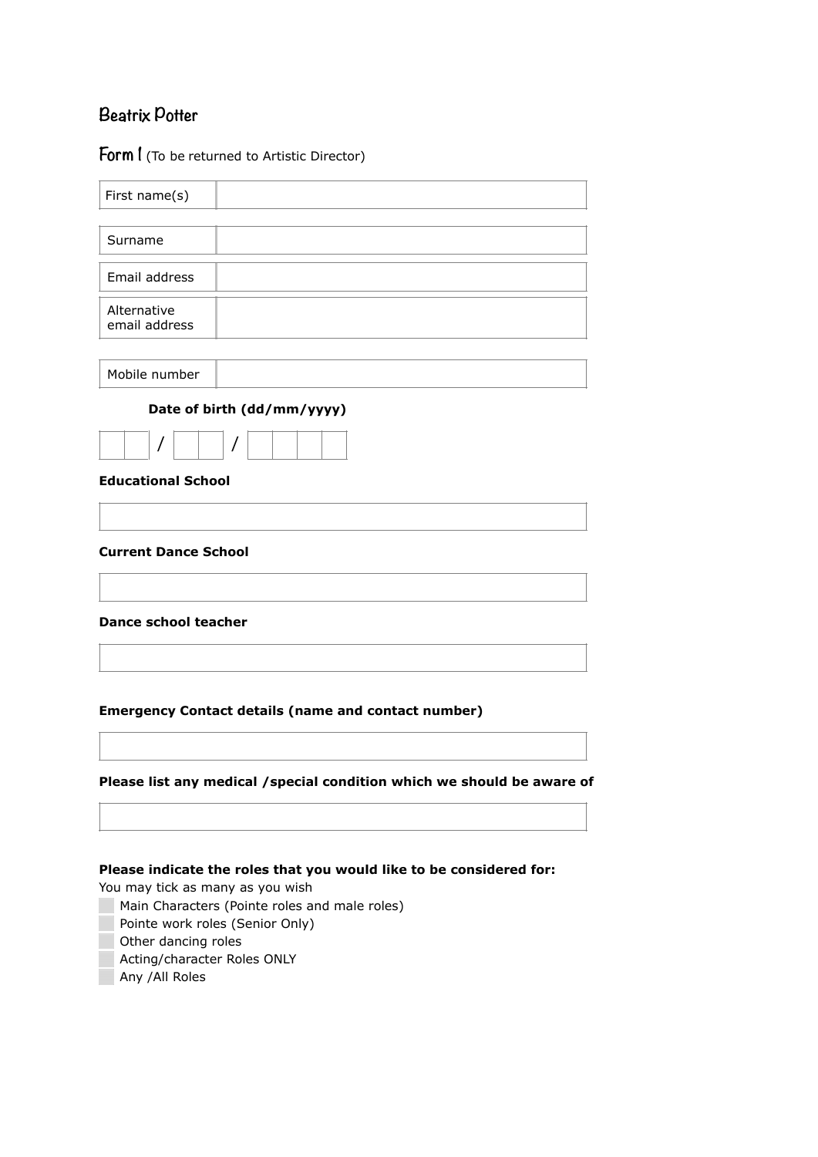# **Beatrix Potter**

# **Form 1** (To be returned to Artistic Director)

| First name(s)                                           |                                                                                                                                                         |
|---------------------------------------------------------|---------------------------------------------------------------------------------------------------------------------------------------------------------|
| Surname                                                 |                                                                                                                                                         |
| Email address                                           |                                                                                                                                                         |
| Alternative<br>email address                            |                                                                                                                                                         |
| Mobile number                                           |                                                                                                                                                         |
|                                                         | Date of birth (dd/mm/yyyy)                                                                                                                              |
|                                                         |                                                                                                                                                         |
| <b>Educational School</b>                               |                                                                                                                                                         |
|                                                         |                                                                                                                                                         |
| <b>Current Dance School</b>                             |                                                                                                                                                         |
| <b>Dance school teacher</b>                             |                                                                                                                                                         |
|                                                         | <b>Emergency Contact details (name and contact number)</b>                                                                                              |
|                                                         | Please list any medical / special condition which we should be aware of                                                                                 |
| You may tick as many as you wish<br>Other dancing roles | Please indicate the roles that you would like to be considered for:<br>Main Characters (Pointe roles and male roles)<br>Pointe work roles (Senior Only) |
| Acting/character Roles ONLY                             |                                                                                                                                                         |

**Any /All Roles**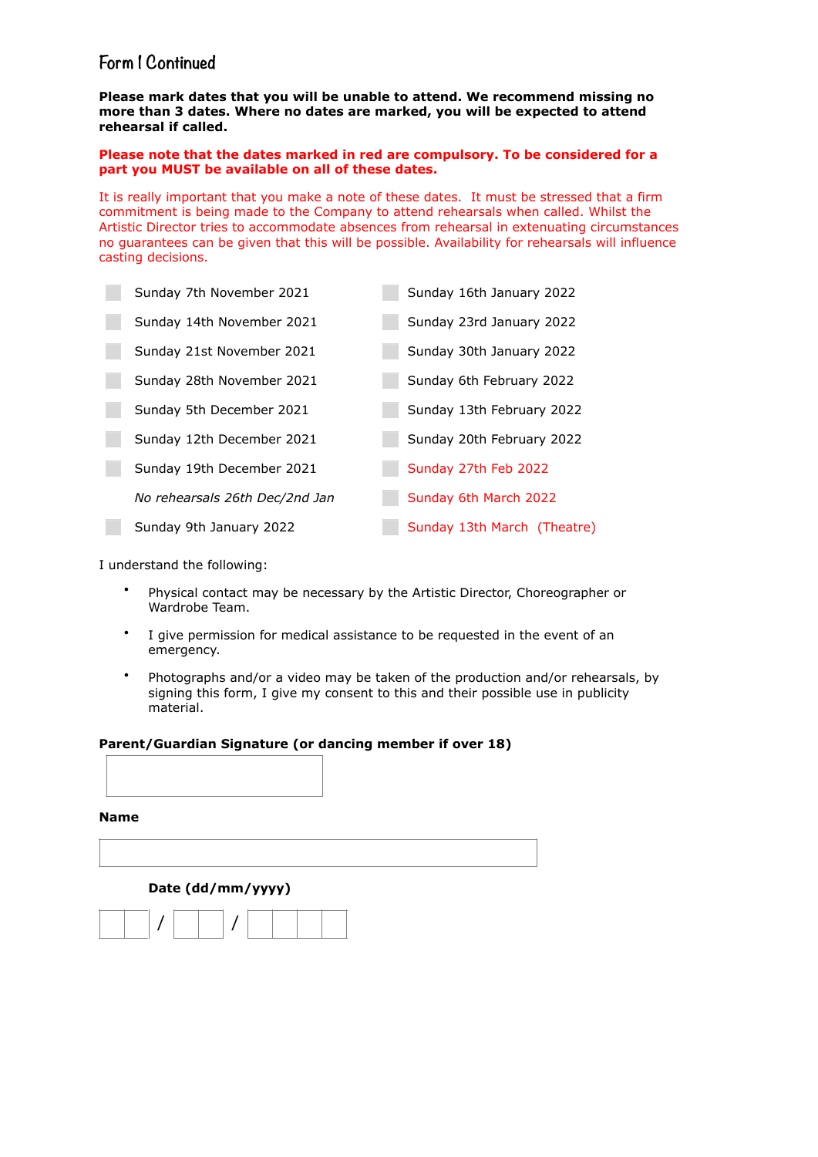## **Form 1 Continued**

**Please mark dates that you will be unable to attend. We recommend missing no more than 3 dates. Where no dates are marked, you will be expected to attend rehearsal if called.**

## **Please note that the dates marked in red are compulsory. To be considered for a part you MUST be available on all of these dates.**

It is really important that you make a note of these dates. It must be stressed that a firm commitment is being made to the Company to attend rehearsals when called. Whilst the Artistic Director tries to accommodate absences from rehearsal in extenuating circumstances no guarantees can be given that this will be possible. Availability for rehearsals will influence casting decisions.

| Sunday 7th November 2021       | Sunday 16th January 2022    |
|--------------------------------|-----------------------------|
| Sunday 14th November 2021      | Sunday 23rd January 2022    |
| Sunday 21st November 2021      | Sunday 30th January 2022    |
| Sunday 28th November 2021      | Sunday 6th February 2022    |
| Sunday 5th December 2021       | Sunday 13th February 2022   |
| Sunday 12th December 2021      | Sunday 20th February 2022   |
| Sunday 19th December 2021      | Sunday 27th Feb 2022        |
| No rehearsals 26th Dec/2nd Jan | Sunday 6th March 2022       |
| Sunday 9th January 2022        | Sunday 13th March (Theatre) |

I understand the following:

- Physical contact may be necessary by the Artistic Director, Choreographer or Wardrobe Team.
- I give permission for medical assistance to be requested in the event of an emergency.
- Photographs and/or a video may be taken of the production and/or rehearsals, by signing this form, I give my consent to this and their possible use in publicity material.

## **Parent/Guardian Signature (or dancing member if over 18)**

#### **Name**

**Date (dd/mm/yyyy)**

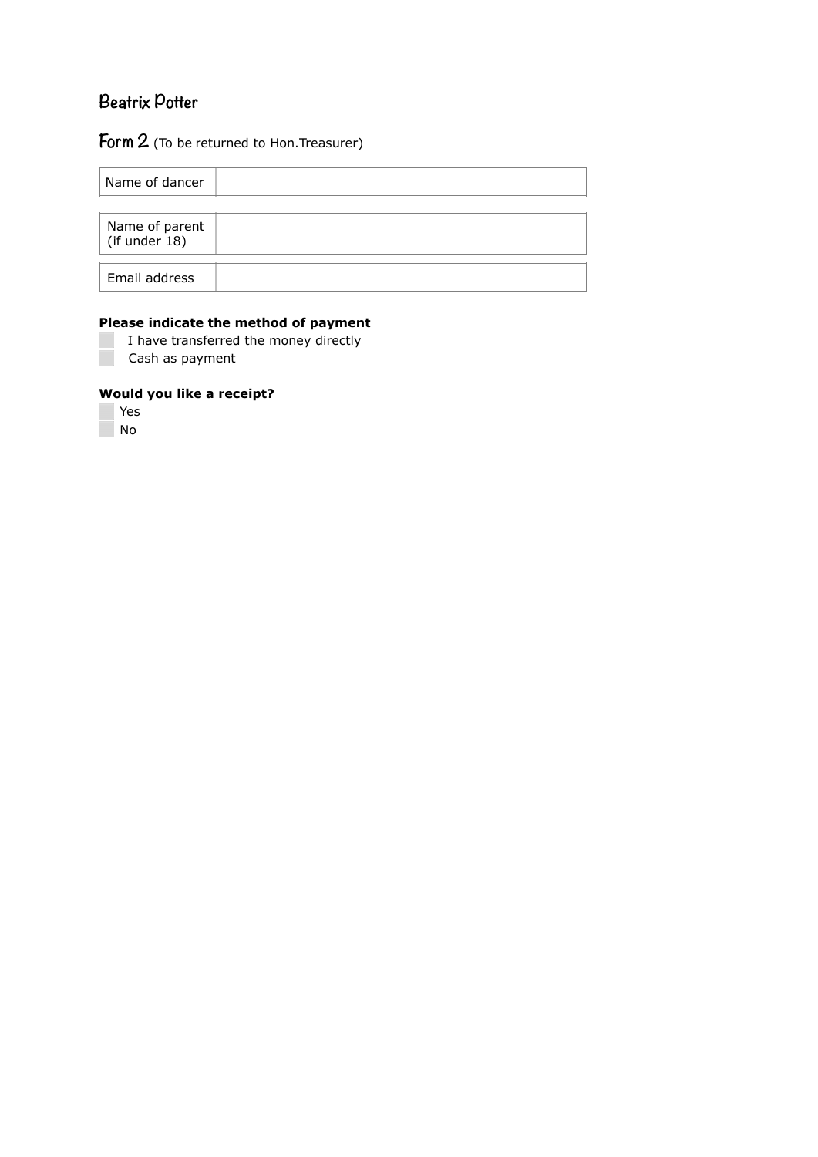## **Beatrix Potter**

# **Form 2** (To be returned to Hon.Treasurer)

| Name of dancer                  |  |
|---------------------------------|--|
|                                 |  |
| Name of parent<br>(if under 18) |  |
|                                 |  |
| Email address                   |  |

## **Please indicate the method of payment**

⬜ I have transferred the money directly **Cash as payment** 

## **Would you like a receipt?**

⬜ Yes ⬜ No